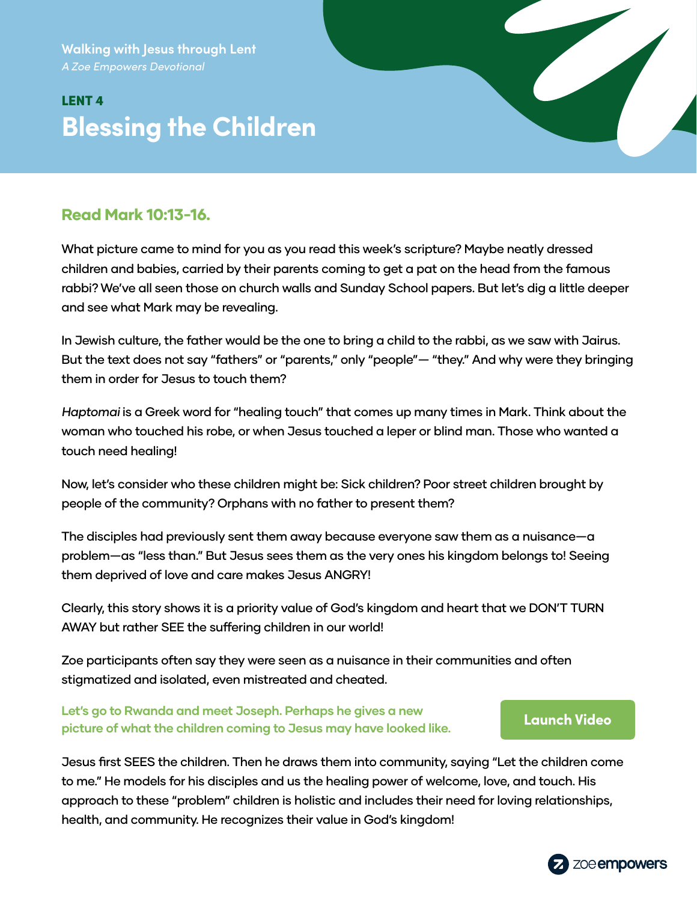**Walking with Jesus through Lent** *A Zoe Empowers Devotional*

# LENT 4 **Blessing the Children**

# Read Mark 10:13-16.

What picture came to mind for you as you read this week's scripture? Maybe neatly dressed children and babies, carried by their parents coming to get a pat on the head from the famous rabbi? We've all seen those on church walls and Sunday School papers. But let's dig a little deeper and see what Mark may be revealing.

In Jewish culture, the father would be the one to bring a child to the rabbi, as we saw with Jairus. But the text does not say "fathers" or "parents," only "people"— "they." And why were they bringing them in order for Jesus to touch them?

Haptomai is a Greek word for "healing touch" that comes up many times in Mark. Think about the woman who touched his robe, or when Jesus touched a leper or blind man. Those who wanted a touch need healing!

Now, let's consider who these children might be: Sick children? Poor street children brought by people of the community? Orphans with no father to present them?

The disciples had previously sent them away because everyone saw them as a nuisance—a problem—as "less than." But Jesus sees them as the very ones his kingdom belongs to! Seeing them deprived of love and care makes Jesus ANGRY!

Clearly, this story shows it is a priority value of God's kingdom and heart that we DON'T TURN AWAY but rather SEE the suffering children in our world!

Zoe participants often say they were seen as a nuisance in their communities and often stigmatized and isolated, even mistreated and cheated.

### **Let's go to Rwanda and meet Joseph. Perhaps he gives a new picture of what the children coming to Jesus may have looked like. [Launch Video](https://zmpw.rs/Joseph)**

Jesus first SEES the children. Then he draws them into community, saying "Let the children come to me." He models for his disciples and us the healing power of welcome, love, and touch. His approach to these "problem" children is holistic and includes their need for loving relationships, health, and community. He recognizes their value in God's kingdom!

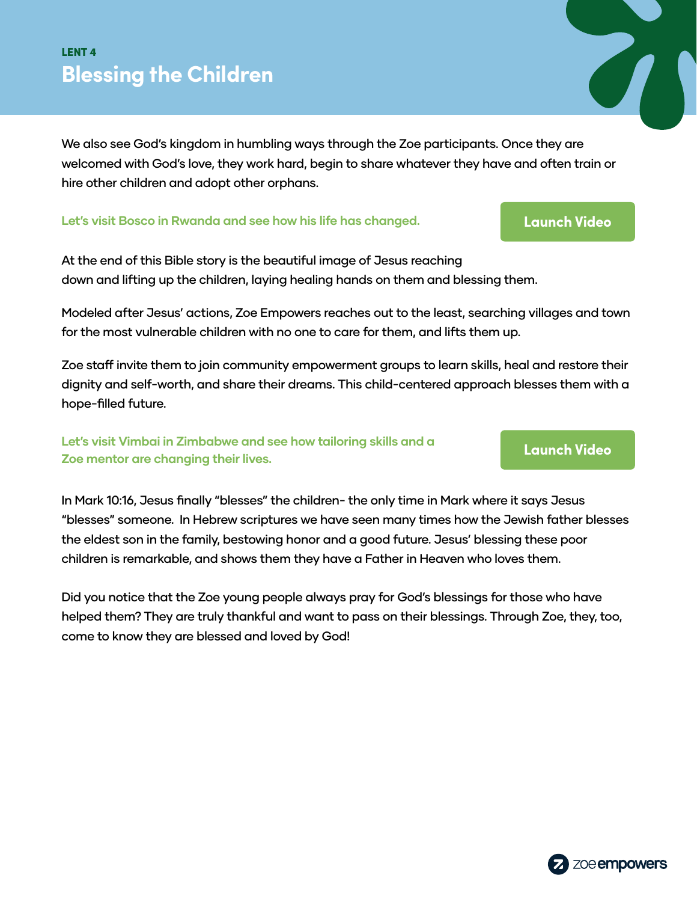# LENT 4 **Blessing the Children**

We also see God's kingdom in humbling ways through the Zoe participants. Once they are welcomed with God's love, they work hard, begin to share whatever they have and often train or hire other children and adopt other orphans.

#### **Let's visit Bosco in Rwanda and see how his life has changed. [Launch Video](https://zmpw.rs/Bosco)**

At the end of this Bible story is the beautiful image of Jesus reaching down and lifting up the children, laying healing hands on them and blessing them.

Modeled after Jesus' actions, Zoe Empowers reaches out to the least, searching villages and town for the most vulnerable children with no one to care for them, and lifts them up.

Zoe staff invite them to join community empowerment groups to learn skills, heal and restore their dignity and self-worth, and share their dreams. This child-centered approach blesses them with a hope-filled future.

**Let's visit Vimbai in Zimbabwe and see how tailoring skills and a Zoe mentor are changing their lives. [Launch Video](https://zmpw.rs/Vimbai)**

In Mark 10:16, Jesus finally "blesses" the children- the only time in Mark where it says Jesus "blesses" someone. In Hebrew scriptures we have seen many times how the Jewish father blesses the eldest son in the family, bestowing honor and a good future. Jesus' blessing these poor children is remarkable, and shows them they have a Father in Heaven who loves them.

Did you notice that the Zoe young people always pray for God's blessings for those who have helped them? They are truly thankful and want to pass on their blessings. Through Zoe, they, too, come to know they are blessed and loved by God!